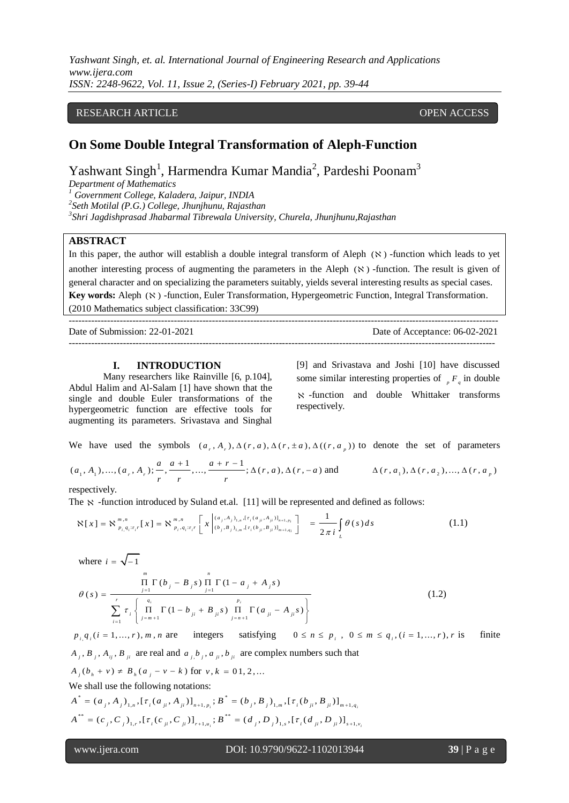*Yashwant Singh, et. al. International Journal of Engineering Research and Applications www.ijera.com ISSN: 2248-9622, Vol. 11, Issue 2, (Series-I) February 2021, pp. 39-44*

# RESEARCH ARTICLE **CONSERVERS** OPEN ACCESS

# **On Some Double Integral Transformation of Aleph-Function**

Yashwant Singh<sup>1</sup>, Harmendra Kumar Mandia<sup>2</sup>, Pardeshi Poonam<sup>3</sup>

*Department of Mathematics*

*<sup>1</sup> Government College, Kaladera, Jaipur, INDIA*

*2 Seth Motilal (P.G.) College, Jhunjhunu, Rajasthan*

*3 Shri Jagdishprasad Jhabarmal Tibrewala University, Churela, Jhunjhunu,Rajasthan*

### **ABSTRACT**

In this paper, the author will establish a double integral transform of Aleph  $(\aleph)$  -function which leads to yet another interesting process of augmenting the parameters in the Aleph  $(\aleph)$  -function. The result is given of general character and on specializing the parameters suitably, yields several interesting results as special cases. Key words: Aleph ( $\aleph$ ) -function, Euler Transformation, Hypergeometric Function, Integral Transformation. (2010 Mathematics subject classification: 33C99)

--------------------------------------------------------------------------------------------------------------------------------------- Date of Submission: 22-01-2021 Date of Acceptance: 06-02-2021 --------------------------------------------------------------------------------------------------------------------------------------

#### **I. INTRODUCTION**

Many researchers like Rainville [6, p.104], Abdul Halim and Al-Salam [1] have shown that the single and double Euler transformations of the hypergeometric function are effective tools for augmenting its parameters. Srivastava and Singhal

[9] and Srivastava and Joshi [10] have discussed some similar interesting properties of  $\binom{F}{q}$  in double -function and double Whittaker transforms respectively.

We have used the symbols 
$$
(a_r, A_r), \Delta(r, a), \Delta(r, \pm a), \Delta((r, a_p))
$$
 to denote the set of parameters   
 $(a_1, A_1), ..., (a_r, A_r); \frac{a}{r}, \frac{a+1}{r}, ..., \frac{a+r-1}{r}; \Delta(r, a), \Delta(r, -a)$  and  $\Delta(r, a_1), \Delta(r, a_2), ..., \Delta(r, a_p)$ 

respectively.

The 
$$
\aleph
$$
 -function introduced by Suland et.a. [11] will be represented and defined as follows:  
\n
$$
\aleph[x] = \aleph_{p_i, q_i; \tau_i r}^{m,n}[x] = \aleph_{p_i, q_i; \tau_i r}^{m,n} \left[ x \left| \begin{array}{c} (a_j, A_j)_{1,n} , [\tau_i(a_{ji}, A_{ji})]_{n+1, p_i} \\ (b_j, B_j)_{1,m} , [\tau_i(b_{ji}, B_{ji})]_{n+1, q_i} \end{array} \right] = \frac{1}{2\pi i} \int_{L} \theta(s) ds
$$
\n(1.1)

where 
$$
i = \sqrt{-1}
$$
  
\n
$$
\frac{\prod_{j=1}^{m} \Gamma(b_j - B_j s) \prod_{j=1}^{n} \Gamma(1 - a_j + A_j s)}{\sum_{i=1}^{r} \tau_i \left\{ \prod_{j=m+1}^{q_i} \Gamma(1 - b_{ji} + B_{ji} s) \prod_{j=n+1}^{p_i} \Gamma(a_{ji} - A_{ji} s) \right\}}
$$
\n(1.2)

 $p_{i,}q_{i}$  (*i* = 1, ..., *r*), *m*, *n* are integers satisfying  $0 \le n \le p_i$ ,  $0 \le m \le q_i$ ,  $(i = 1, ..., r), r$  is finite  $A_j$ ,  $B_j$ ,  $A_{ij}$ ,  $B_{ji}$  are real and  $a_{j}$ ,  $b_j$ ,  $a_{ji}$ ,  $b_{ji}$  are complex numbers such that  $A_j(b_h + v) \neq B_j(a_j - v - k)$  for  $v, k = 0.1, 2, ...$ We shall use the following notations:<br>  $A^* = (a \cdot A) [\tau (a \cdot A)] : B^*$  $A_j (b_h + v) \neq B_h (a_j - v - k)$  for  $v, k = 0.1, 2, ...$ <br>
We shall use the following notations:<br>  $A^* = (a_j, A_j)_{1,n}, [\tau_i (a_{ji}, A_{ji})]_{n+1, p_i}; B^* = (b_j, B_j)_{1,m}, [\tau_i (b_{ji}, B_{ji})]_{m+1, q_i}$ =  $(a_j, A_j)_{1,n}, [\tau_i(a_{ji}, A_{ji})]_{n+1, p_i}; B$ <br>\*\* =  $(c, C)$  ,  $[\tau(c, C)]$  ;  $B$  $A^* = (a_j, A_j)_{1,n}, [\tau_i(a_{ji}, A_{ji})]_{n+1, p_i}; B^* = (b_j, B_j)_{1,n}, [\tau_i(b_{ji}, B_{ji})]_{m+1, q_i}$ <br>  $A^{**} = (c_j, C_j)_{1,r}, [\tau_i(c_{ji}, C_{ji})]_{r+1, u_i}; B^{**} = (d_j, D_j)_{1,s}, [\tau_i(d_{ji}, D_{ji})]_{s+1, v_i}$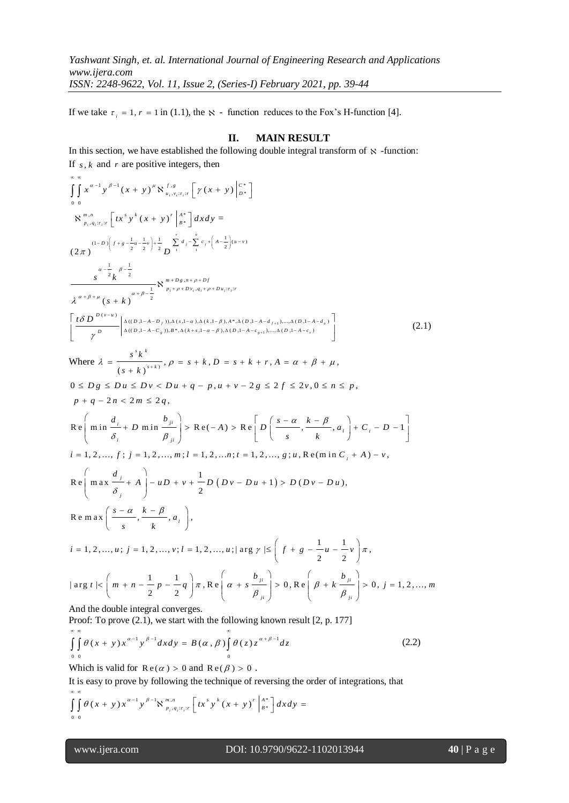If we take  $\tau_i = 1$ ,  $r = 1$  in (1.1), the  $\aleph$  - function reduces to the Fox's H-function [4].

# **II. MAIN RESULT**

In this section, we have established the following double integral transform of  $\aleph$  -function: If  $s, k$  and  $r$  are positive integers, then

$$
\int_{0}^{\infty} \int_{0}^{\infty} x^{a-1} y^{n-1} (x + y)^{n} N_{x_{a},x_{a},x_{a}}^{s-a} [r(x + y)]_{p+1}^{s-a}
$$
\n
$$
N_{p,q,x_{a}}^{\infty,\infty} [tx^{n} y^{k} (x + y)^{r}]_{a}^{s+1} [dxdy =
$$
\n
$$
(2\pi)^{(-1)^{n} [x + \frac{1}{2}u - \frac{1}{2}]^{n}} \sum_{i=1}^{n} \sum_{j=1}^{n} \sum_{j=1}^{r} \sum_{j=1}^{r} (-1)^{n-r}}
$$
\n
$$
\int_{0}^{\infty} \int_{0}^{\infty} \int_{0}^{\infty} \int_{0}^{\infty} \int_{0}^{\infty} \int_{0}^{\infty} \int_{0}^{\infty} \int_{0}^{\infty} \int_{0}^{\infty} \int_{0}^{\infty} \int_{0}^{\infty} \int_{0}^{\infty} \int_{0}^{\infty} \int_{0}^{\infty} \int_{0}^{\infty} \int_{0}^{\infty} \int_{0}^{\infty} \int_{0}^{\infty} \int_{0}^{\infty} \int_{0}^{\infty} \int_{0}^{\infty} \int_{0}^{\infty} \int_{0}^{\infty} \int_{0}^{\infty} \int_{0}^{\infty} \int_{0}^{\infty} \int_{0}^{\infty} \int_{0}^{\infty} \int_{0}^{\infty} \int_{0}^{\infty} \int_{0}^{\infty} \int_{0}^{\infty} \int_{0}^{\infty} \int_{0}^{\infty} \int_{0}^{\infty} \int_{0}^{\infty} \int_{0}^{\infty} \int_{0}^{\infty} \int_{0}^{\infty} \int_{0}^{\infty} \int_{0}^{\infty} \int_{0}^{\infty} \int_{0}^{\infty} \int_{0}^{\infty} \int_{0}^{\infty} \int_{0}^{\infty} \int_{0}^{\infty} \int_{0}^{\infty} \int_{0}^{\infty} \int_{0}^{\infty} \int_{0}^{\infty} \int_{0}^{\infty} \int_{0}^{\infty} \int_{
$$

$$
\iint_{0}^{\infty} \theta(x+y)x^{\alpha-1}y^{\beta-1}dxdy = B(\alpha, \beta) \int_{0}^{\infty} \theta(z)z^{\alpha+\beta-1}dz
$$
\n(2.2)

Which is valid for  $\text{Re}(\alpha) > 0$  and  $\text{Re}(\beta) > 0$ .

It is easy to prove by following the technique of reversing the order of integrations, that<br>  $\int_{0}^{\infty} \int_{0}^{\infty} \theta(x + y) x^{\alpha-1} y^{\beta-1} \aleph_{p_i, q_i; \tau_i; r}^{\{m, n\}} \left[ tx^s y^k (x + y)^r \Big|_{B^*}^{A^*} \right] dx dy =$  $\left[\frac{1}{v} \frac{\beta - 1}{N} \mathbf{x}^{m,n} \right] \left[\frac{1}{r} \mathbf{x}^{s} v^{k} (r + v)^{r} \right]^{A^{*}}$  $\int$ <sup>*m*</sup>,*n*  $\left[ f x^s y^k (r + y)^r \right]$ 

$$
\int_{0} \int_{0} \theta (x + y) x^{a-1} y^{\beta-1} \aleph_{p_{i}, q_{i}; r_{i}; r}^{m, n} \left[ tx^{s} y^{k} (x + y)^{r} \Big|_{B^{*}}^{A^{*}} \right] dx dy =
$$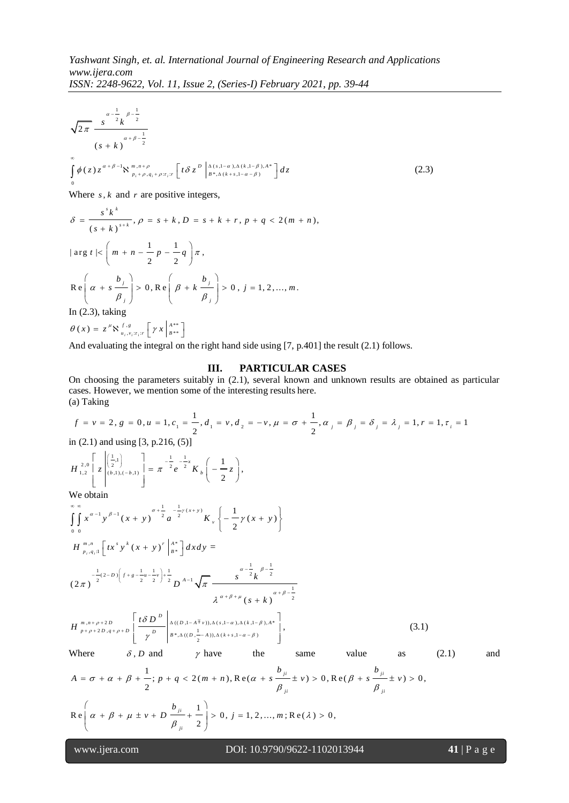$$
\sqrt{2\pi} \frac{s^{\alpha-\frac{1}{2}}k^{\beta-\frac{1}{2}}}{(s+k)^{\alpha+\beta-\frac{1}{2}}}
$$
  

$$
\int_{0}^{\infty} \phi(z) z^{\alpha+\beta-1} \aleph_{p_{i}+p,q_{i}+p:r_{i};r} \left[t\delta z^{D}\left[\Delta(s,1-\alpha),\Delta(k,1-\beta),A^{*}\right]dz\right]
$$
  
(2.3)

Where *s*, *k* and *r* are positive integers,  
\n
$$
\delta = \frac{s^{s}k^{k}}{(s+k)^{s+k}}, \rho = s+k, D = s+k+r, p+q < 2(m+n),
$$
\n
$$
|\arg t| < \left(m+n-\frac{1}{2}p-\frac{1}{2}q\right)\pi,
$$
\n
$$
\text{Re}\left(\alpha+s\frac{b_j}{\beta_j}\right) > 0, \text{Re}\left(\beta+k\frac{b_j}{\beta_j}\right) > 0, j = 1, 2, ..., m.
$$
\nIn (2.3), taking

$$
\theta(x) = z^{\mu} \aleph_{u_i, v_i; \tau_i; r}^{f, g} \left[ \gamma x \Big|_{B^{**}}^{A^{**}} \right]
$$

And evaluating the integral on the right hand side using [7, p.401] the result (2.1) follows.

# **III. PARTICULAR CASES**

On choosing the parameters suitably in (2.1), several known and unknown results are obtained as particular cases. However, we mention some of the interesting results here. (a) Taking In choosing the parameters suitably in (2.1), several known and unknown results are obtained as particular asses. However, we mention some of the interesting results here.<br>
(i) Taking<br>  $f = v = 2$ ,  $g = 0$ ,  $u = 1$ ,  $c_1 = \frac{1}{$ 

(a) Taking  
\n
$$
f = v = 2, g = 0, u = 1, c_1 = \frac{1}{2}, d_1 = v, d_2 = -v, \mu = \sigma + \frac{1}{2}, \alpha_j = \beta_j = \lambda_j = 1, r = 1, \tau_i = 1
$$
  
\nin (2.1) and using [3, p.216, (5)]  
\n $H_{1,2}^{2,0} \left[ z \begin{bmatrix} 1 \\ 2 \end{bmatrix} \right] = \frac{1}{\alpha} - \frac{1}{2} e^{-\frac{1}{2}z} K_b \left( -\frac{1}{2} z \right),$   
\nWe obtain  
\n $\sum_{\substack{n=-\infty \\ n \text{ odd}}^{\infty}$   
\n $\sum_{\substack{n=-\infty \\ n \text{ odd}}}^{\infty} \left[ x \begin{bmatrix} 1/2 \\ 2/2 \end{bmatrix} \right] = \frac{1}{\alpha} - \frac{1}{2} e^{-\frac{1}{2}z} K_b \left( -\frac{1}{2} z \right),$   
\nWe obtain  
\n $\sum_{\substack{n=-\infty \\ n \text{ odd}}}^{\infty}$   
\n $H_{p_1, q_1, 1}^{\text{max}} \left[ tx^s y^k (x + y)^r \right]_{a_1}^{a_2} \left[ dx dy = \frac{1}{2} (2 \pi)^{-\frac{1}{2} (2 \pi)^2} (x + y)^2 \right]$   
\n $\sum_{\substack{n=-\infty \\ n \text{ odd}}}^{\infty} \left[ \frac{1}{2} (2 \pi)^{-\frac{1}{2} (2 \pi)^2} \left[ f + g - \frac{1}{2} \pi \right]_{2}^{a_1 - \frac{1}{2}} \right] dx dy = \frac{1}{2} e^{-\frac{1}{2} \pi^2} \left[ \frac{1}{2} \pi^2 - \frac{1}{2} \pi^2 \right]_{2}^{a_1 - \frac{1}{2}} \left[ \frac{1}{2} \pi^2 - \frac{1}{2} \pi^2 \right]_{2}^{a_2 - \frac{1}{2}} \left[ \frac{1}{2} \pi^2 - \frac{1}{2} \pi^2 \right]_{2}^{a_3 - \frac{1}{2}} \left[ \frac{1}{2} \pi^2 - \frac{1}{2} \pi^2 \right]_{2}^{a_4 - \frac{1}{$ 

$$
\text{Re}\left(\alpha + \beta + \mu \pm v + D \frac{b_{ji}}{\beta_{ji}} + \frac{1}{2}\right) > 0, j = 1, 2, ..., m; \text{Re}(\lambda) > 0,
$$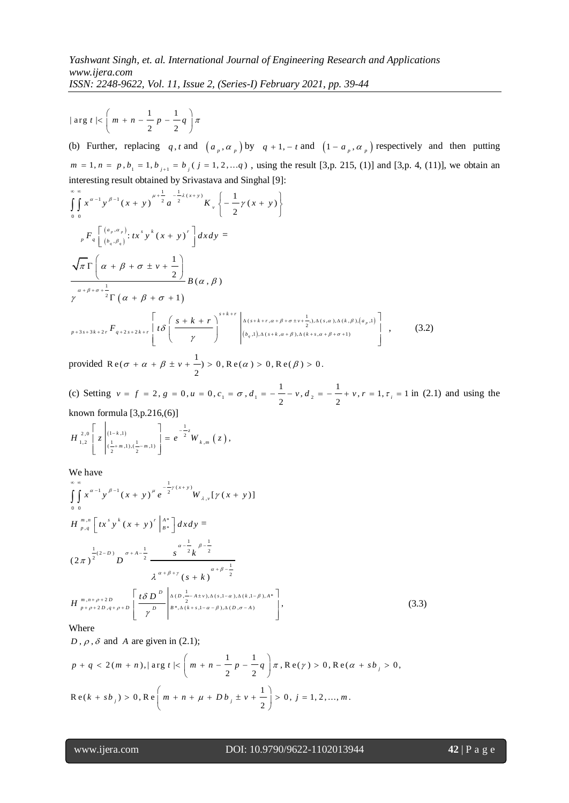$| \arg t | < \left( m + n - \frac{1}{\epsilon} p - \frac{1}{\epsilon} \right)$  $\frac{-}{2}p - \frac{1}{2}$  $t \mid < \left(m + n - \frac{1}{2} p - \frac{1}{2} q\right) \pi$ 

(b) Further, replacing q, t and  $(a_p, a_p)$  by  $q + 1$ ,  $- t$  and  $(1 - a_p, a_p)$  respectively and then putting  $m = 1, n = p, b_1 = 1, b_{j+1} = b_j (j = 1, 2, \dots q)$ , using the result [3,p. 215, (1)] and [3,p. 4, (11)], we obtain an

interesting result obtained by Srivastava and Singhal [9]:

\n
$$
\int_{0}^{\infty} \int_{0}^{\infty} x^{a-1} y^{\beta-1} (x+y)^{\mu+\frac{1}{2}} a^{-\frac{1}{2}\lambda(x+y)} K_{\nu} \left\{ -\frac{1}{2} \gamma (x+y) \right\}
$$
\n
$$
{}_{\rho} F_{q} \left[ \frac{(a_{\rho}, a_{\rho})}{(b_{q}, \beta_{q})} : tx^{s} y^{k} (x+y)^{r} \right] dx dy =
$$
\n
$$
\frac{\sqrt{\pi} \Gamma \left( \alpha + \beta + \sigma \pm \nu + \frac{1}{2} \right)}{\alpha + \beta + \sigma + \frac{1}{2} \Gamma \left( \alpha + \beta + \sigma + 1 \right)} B(\alpha, \beta)
$$
\n
$$
\gamma^{\alpha+\beta+\sigma+\frac{1}{2}} \Gamma \left( \alpha + \beta + \sigma + 1 \right)
$$
\n
$$
{}_{p+3s+3k+2r} \left[ t \delta \left( \frac{s+k+r}{\gamma} \right)^{s+k+r} \left| \frac{\lambda(s+k+r, \alpha+\beta+\sigma \pm \nu + \frac{1}{2}, \lambda(s, \alpha), \Delta(k, \beta), (a_{\rho}, 1)}{(b_{q}, 1), \Delta(s+k, \alpha+\beta), \Delta(k+s, \alpha+\beta+\sigma+1)} \right| , \qquad (3.2)
$$

provided Re( $\sigma + \alpha + \beta \pm \nu + \frac{1}{\sigma}$ R e( $\sigma + \alpha + \beta \pm \nu + \frac{1}{2}$ ) > 0, R e( $\alpha$ ) > 0, R e( $\beta$ ) > 0.

provided R e( $\sigma + \alpha + \beta \pm v + \frac{1}{2}$ ) > 0, R e( $\alpha$ ) > 0, R e( $\beta$ ) > 0.<br>(c) Setting  $v = f = 2$ ,  $g = 0$ ,  $u = 0$ ,  $c_1 = \sigma$ ,  $d_1 = -\frac{1}{2} - v$ ,  $d_2 = -\frac{1}{2} + v$ ,  $r = 1$ ,  $\tau_i = 1$  $\frac{1}{2} - v$ ,  $d_2 = -\frac{1}{2}$  $v = f = 2$ ,  $g = 0$ ,  $u = 0$ ,  $c_1 = \sigma$ ,  $d_1 = -\frac{1}{2} - v$ ,  $d_2 = -\frac{1}{2} + v$ ,  $r = 1$ ,  $\tau_i = 1$  in (2.1) and using the

known formula [3,p.216,(6)]<br> $\int_{2.0}$ [  $\Big|_{(1-k,1)}$  ] 1

$$
H_{1,2}^{2,0}\left[z\left|_{(\frac{1}{2}+m,1),(\frac{1}{2}-m,1)}^{(1-k,1)}\right.\right]=e^{-\frac{1}{2}z}W_{k,m}\left(z\right),
$$

We have  $\int_{-\infty}^{\infty}$ 

we have  
\n
$$
\int_{0}^{\infty} \int_{0}^{\infty} x^{\alpha-1} y^{\beta-1} (x + y)^{\mu} e^{-\frac{1}{2}y(x+y)} W_{\lambda,\nu}[y(x + y)]
$$
\n
$$
H_{p,q}^{m,n} \left[ tx^s y^k (x + y)^r \Big|_{B^*}^{A^*} \right] dx dy =
$$
\n
$$
(2\pi)^{\frac{1}{2}(2-D)} D^{\sigma+A-\frac{1}{2}} \frac{s^{-\frac{1}{2}} k^{\frac{1}{2}}}{\lambda^{\alpha+\beta+\gamma} (s+k)^{\alpha+\beta-\frac{1}{2}}}
$$
\n
$$
H_{p+\rho+2D,q+\rho+D}^{m,n+\rho+2D} \left[ \frac{t \delta D^D}{\gamma} \Big|_{B^*,\Delta(k+s,1-\alpha-\beta),\Delta(b,\sigma-A)}^{\Delta(b,\frac{1}{2}-A\pm v),\Delta(s,1-\alpha),\Delta(k,1-\beta),A^*} \right],
$$
\n(3.3)

Where

Where

\n
$$
D, \rho, \delta \text{ and } A \text{ are given in (2.1);}
$$
\n
$$
p + q < 2(m + n), |\arg t| < \left(m + n - \frac{1}{2}p - \frac{1}{2}q\right)\pi, \text{Re}(\gamma) > 0, \text{Re}(\alpha + s b_j) > 0,
$$
\n
$$
\text{Re}(k + s b_j) > 0, \text{Re}\left(m + n + \mu + D b_j \pm v + \frac{1}{2}\right) > 0, j = 1, 2, \dots, m.
$$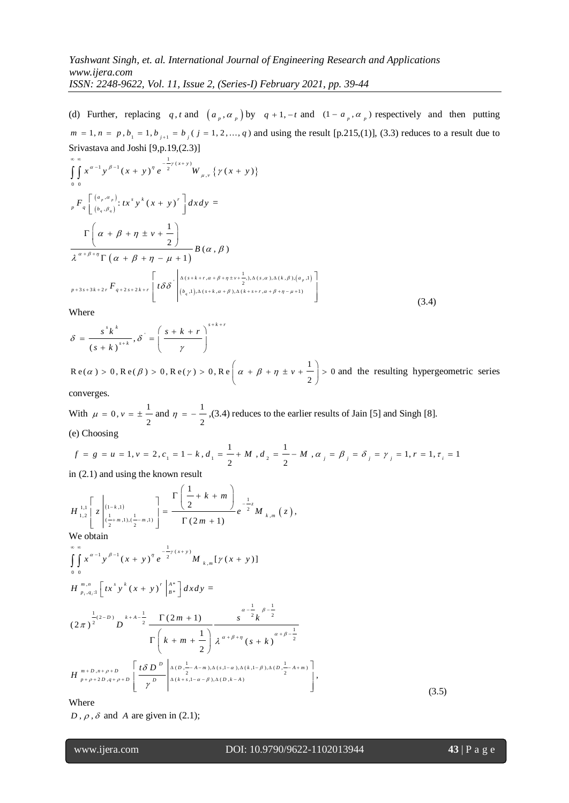(d) Further, replacing q, t and  $\left(a_p, a_p\right)$  by  $q + 1, -t$  and  $\left(1 - a_p, a_p\right)$  respectively and then putting  $m = 1, n = p, b_1 = 1, b_{j+1} = b_j$  ( $j = 1, 2, ..., q$ ) and using the result [p.215,(1)], (3.3) reduces to a result due to Srivastava and Joshi [9,p.19,(2.3)]

5Fivastawa and Josh [9,p.19,(2.5)]  
\n
$$
\int_{0}^{\infty} \int_{0}^{\infty} x^{\alpha-1} y^{\beta-1} (x + y)^{\eta} e^{-\frac{1}{2}y(x+y)} W_{\mu,\nu} \{ \gamma (x + y) \}
$$
\n
$$
{}_{p}F_{q} \left[ \frac{(a_{p}, a_{p})}{(b_{q}, \beta_{q})} : tx^{s} y^{k} (x + y)^{r} \right] dxdy =
$$
\n
$$
\frac{\Gamma\left(\alpha + \beta + \eta \pm \nu + \frac{1}{2}\right)}{\lambda^{\alpha + \beta + \eta} \Gamma\left(\alpha + \beta + \eta - \mu + 1\right)} B(\alpha, \beta)
$$
\n
$$
{}_{p+3s+3k+2r}F_{q+2s+2k+r} \left[ t \delta \delta \left| \frac{\lambda(s+k+r, \alpha + \beta + \eta \pm \nu + \frac{1}{2}), \Delta(s, \alpha), \Delta(k, \beta), (a_{p}, 1)}{(b_{q}, 1), \Delta(s+k, \alpha + \beta), \Delta(k+s+r, \alpha + \beta + \eta - \mu + 1)} \right] \tag{3.4}
$$

Where

$$
\delta = \frac{s^{s} k^{k}}{(s+k)^{s+k}}, \delta^{s} = \left(\frac{s+k+r}{\gamma}\right)^{s+k+r}
$$

1  $R e(\alpha) > 0, R e(\beta) > 0, R e(\gamma) > 0, R e\left(\alpha + \beta + \eta \pm \nu + \frac{1}{2}\right) > 0$  and and the resulting hypergeometric series

converges.

With  $\mu = 0, \nu = \pm \frac{1}{\mu}$ 2  $\mu = 0, \nu = \pm \frac{1}{2}$  and  $\eta = -\frac{1}{2}$ 2 (e) Choosing

With 
$$
\mu = 0
$$
,  $v = \pm \frac{1}{2}$  and  $\eta = -\frac{1}{2}$ , (3.4) reduces to the earlier results of Jain [5] and Singh [8].  
\n(e) Choosing  
\n $f = g = u = 1$ ,  $v = 2$ ,  $c_1 = 1 - k$ ,  $d_1 = \frac{1}{2} + M$ ,  $d_2 = \frac{1}{2} - M$ ,  $\alpha_j = \beta_j = \delta_j = \gamma_j = 1$ ,  $r = 1$ ,  $\tau_j = 1$   
\nin (2.1) and using the known result

in (2.1) and using the known result  
\n
$$
H_{1,2}^{\perp, \perp} \left[ z \Big|_{(\frac{1}{2}+m,1),(\frac{1}{2}-m,1)}^{(1-k,1)} \right] = \frac{\Gamma\left(\frac{1}{2}+k+m\right)}{\Gamma(2m+1)} e^{-\frac{1}{2}z} M_{k,m}(z),
$$
\nWe obtain

We obtain

we obtain  
\n
$$
\int_{0}^{\infty} \int_{0}^{\infty} x^{\alpha-1} y^{\beta-1} (x + y)^{\eta} e^{-\frac{1}{2}y(x+y)} M_{k,m} [y(x + y)]
$$
\n
$$
H_{p_i, q_i; 1}^{m,n} [tx^s y^k (x + y)^r |_{B^*}^{A^*}] dx dy =
$$
\n
$$
(2\pi)^{\frac{1}{2}(2-D)} D^{k+A-\frac{1}{2}} \frac{\Gamma(2m+1)}{\Gamma(k+m+\frac{1}{2})} \frac{\alpha^{-\frac{1}{2}} k^{\frac{1}{2}}}{\lambda^{\alpha+\beta+\eta} (s+k)^{\frac{\alpha+\beta-\frac{1}{2}}{2}}}
$$
\n
$$
H_{p+\rho+2D,q+\rho+D}^{m+D,n+\rho+D} \left[ \frac{t\delta D^D}{\gamma^D} \Big|_{\Delta(k+s, 1-\alpha-\beta), \Delta(D,k-A)}^{\Delta(k+s, 1-\alpha-\beta), \Delta(D,k-A)} \Big| \right],
$$
\nWhen

(3.5)

Where

 $D$ ,  $\rho$ ,  $\delta$  and A are given in (2.1);